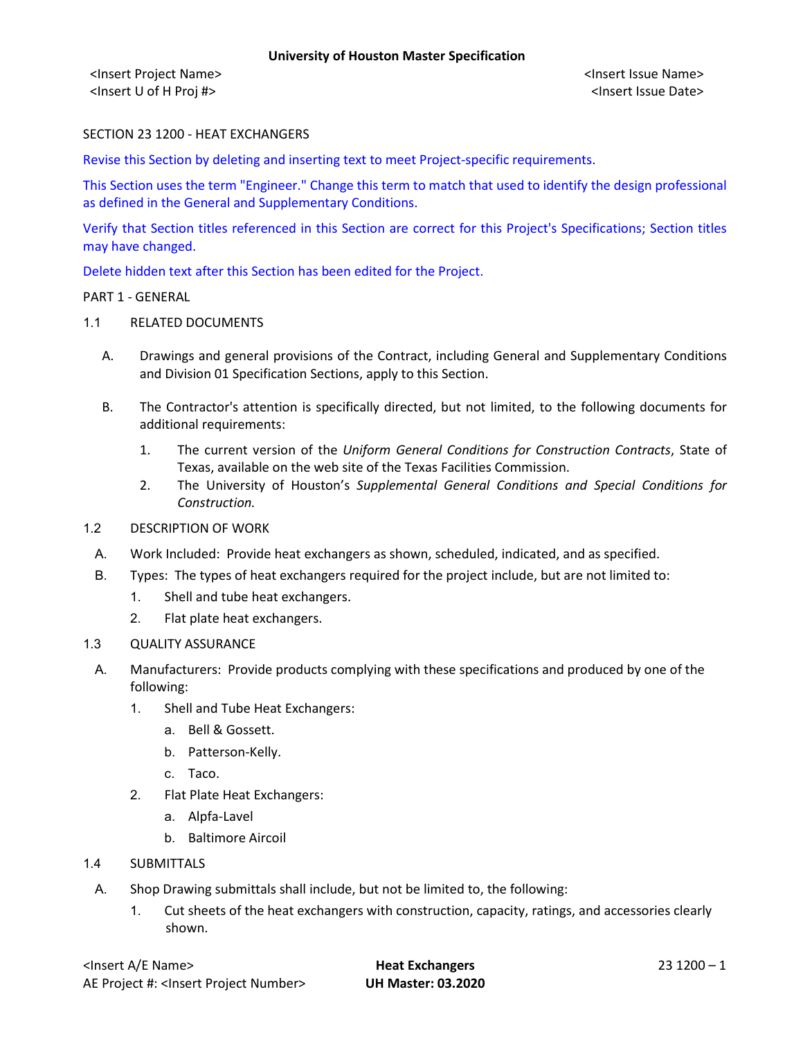<Insert Project Name> <Insert Issue Name> <Insert U of H Proj #> <Insert Issue Date>

## SECTION 23 1200 - HEAT EXCHANGERS

Revise this Section by deleting and inserting text to meet Project-specific requirements.

This Section uses the term "Engineer." Change this term to match that used to identify the design professional as defined in the General and Supplementary Conditions.

Verify that Section titles referenced in this Section are correct for this Project's Specifications; Section titles may have changed.

Delete hidden text after this Section has been edited for the Project.

#### PART 1 - GENERAL

### 1.1 RELATED DOCUMENTS

- A. Drawings and general provisions of the Contract, including General and Supplementary Conditions and Division 01 Specification Sections, apply to this Section.
- B. The Contractor's attention is specifically directed, but not limited, to the following documents for additional requirements:
	- 1. The current version of the *Uniform General Conditions for Construction Contracts*, State of Texas, available on the web site of the Texas Facilities Commission.
	- 2. The University of Houston's *Supplemental General Conditions and Special Conditions for Construction.*

### 1.2 DESCRIPTION OF WORK

- A. Work Included: Provide heat exchangers as shown, scheduled, indicated, and as specified.
- B. Types: The types of heat exchangers required for the project include, but are not limited to:
	- 1. Shell and tube heat exchangers.
	- 2. Flat plate heat exchangers.

#### 1.3 QUALITY ASSURANCE

- A. Manufacturers: Provide products complying with these specifications and produced by one of the following:
	- 1. Shell and Tube Heat Exchangers:
		- a. Bell & Gossett.
		- b. Patterson-Kelly.
		- c. Taco.
	- 2. Flat Plate Heat Exchangers:
		- a. Alpfa-Lavel
		- b. Baltimore Aircoil
- 1.4 SUBMITTALS
	- A. Shop Drawing submittals shall include, but not be limited to, the following:
		- 1. Cut sheets of the heat exchangers with construction, capacity, ratings, and accessories clearly shown.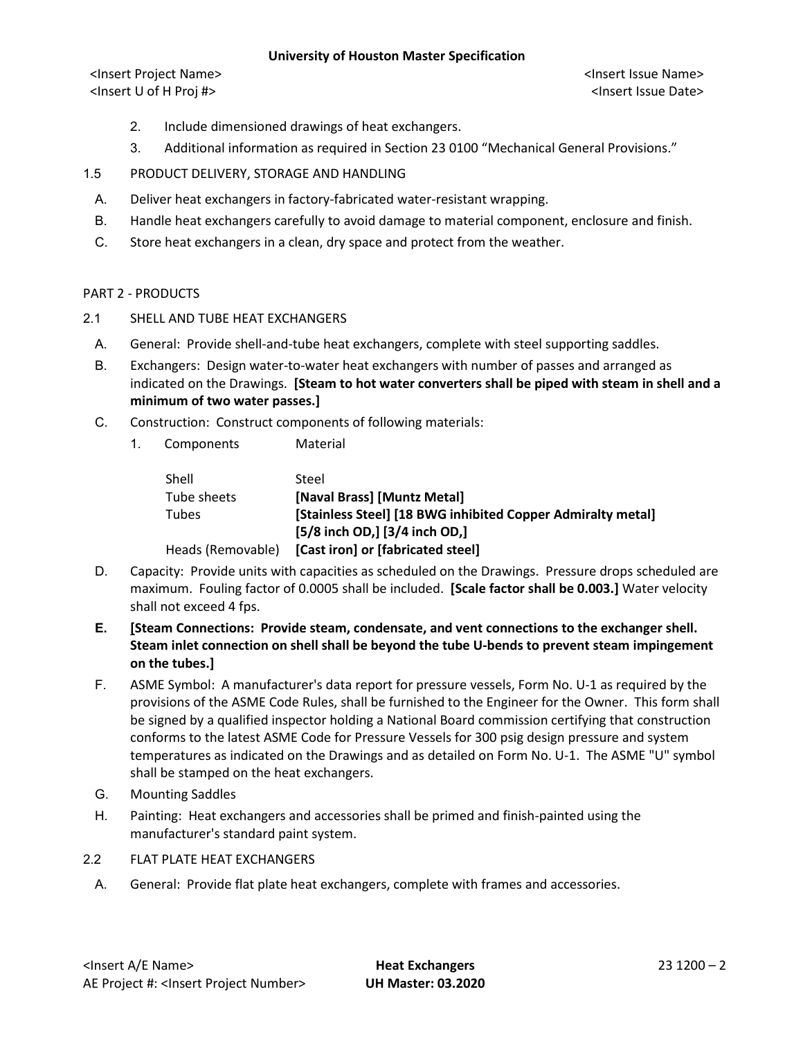## **University of Houston Master Specification**

<Insert Project Name> <Insert Issue Name> <Insert U of H Proj #> <Insert Issue Date>

- 2. Include dimensioned drawings of heat exchangers.
- 3. Additional information as required in Section 23 0100 "Mechanical General Provisions."
- 1.5 PRODUCT DELIVERY, STORAGE AND HANDLING
	- A. Deliver heat exchangers in factory-fabricated water-resistant wrapping.
	- B. Handle heat exchangers carefully to avoid damage to material component, enclosure and finish.
	- C. Store heat exchangers in a clean, dry space and protect from the weather.

## PART 2 - PRODUCTS

- 2.1 SHELL AND TUBE HEAT EXCHANGERS
	- A. General: Provide shell-and-tube heat exchangers, complete with steel supporting saddles.
	- B. Exchangers: Design water-to-water heat exchangers with number of passes and arranged as indicated on the Drawings. **[Steam to hot water converters shall be piped with steam in shell and a minimum of two water passes.]**
	- C. Construction: Construct components of following materials:
		- 1. Components Material

| Shell             | Steel                                                       |
|-------------------|-------------------------------------------------------------|
| Tube sheets       | [Naval Brass] [Muntz Metal]                                 |
| <b>Tubes</b>      | [Stainless Steel] [18 BWG inhibited Copper Admiralty metal] |
|                   | [5/8 inch OD,] [3/4 inch OD,]                               |
| Heads (Removable) | [Cast iron] or [fabricated steel]                           |

- D. Capacity: Provide units with capacities as scheduled on the Drawings. Pressure drops scheduled are maximum. Fouling factor of 0.0005 shall be included. **[Scale factor shall be 0.003.]** Water velocity shall not exceed 4 fps.
- **E. [Steam Connections: Provide steam, condensate, and vent connections to the exchanger shell. Steam inlet connection on shell shall be beyond the tube U-bends to prevent steam impingement on the tubes.]**
- F. ASME Symbol: A manufacturer's data report for pressure vessels, Form No. U-1 as required by the provisions of the ASME Code Rules, shall be furnished to the Engineer for the Owner. This form shall be signed by a qualified inspector holding a National Board commission certifying that construction conforms to the latest ASME Code for Pressure Vessels for 300 psig design pressure and system temperatures as indicated on the Drawings and as detailed on Form No. U-1. The ASME "U" symbol shall be stamped on the heat exchangers.
- G. Mounting Saddles
- H. Painting: Heat exchangers and accessories shall be primed and finish-painted using the manufacturer's standard paint system.
- 2.2 FLAT PLATE HEAT EXCHANGERS
	- A. General: Provide flat plate heat exchangers, complete with frames and accessories.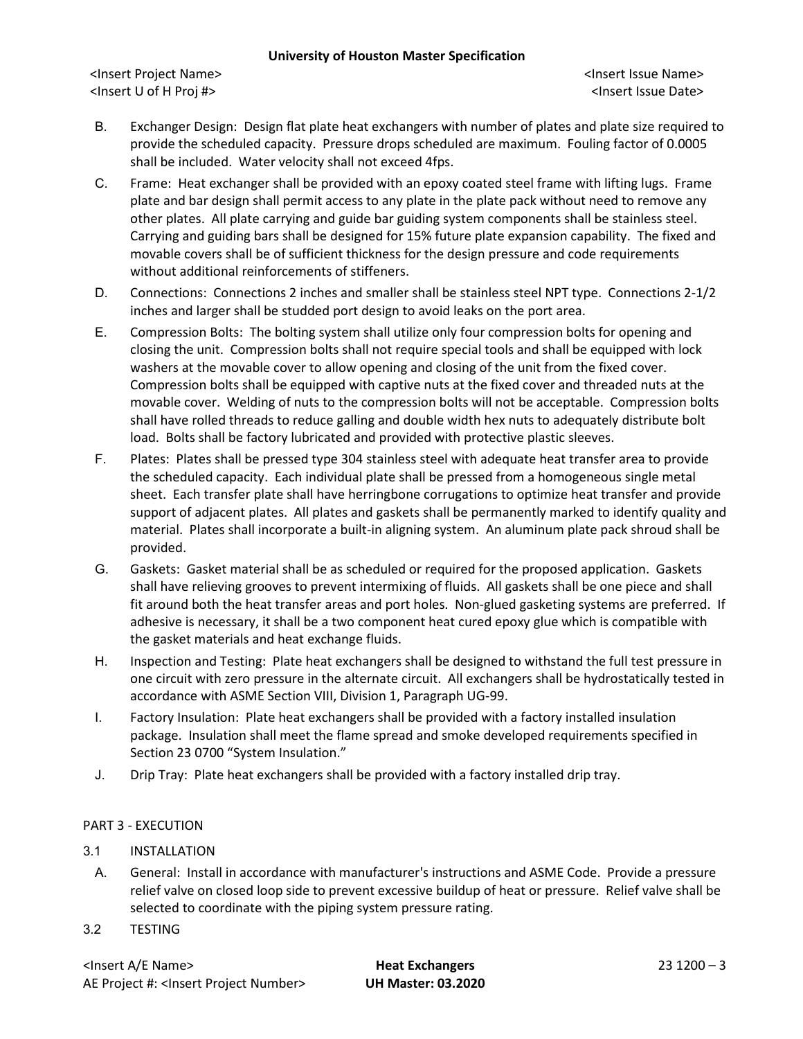### **University of Houston Master Specification**

<Insert Project Name> <Insert Issue Name> <Insert U of H Proj #> <Insert Issue Date>

- B. Exchanger Design: Design flat plate heat exchangers with number of plates and plate size required to provide the scheduled capacity. Pressure drops scheduled are maximum. Fouling factor of 0.0005 shall be included. Water velocity shall not exceed 4fps.
- C. Frame: Heat exchanger shall be provided with an epoxy coated steel frame with lifting lugs. Frame plate and bar design shall permit access to any plate in the plate pack without need to remove any other plates. All plate carrying and guide bar guiding system components shall be stainless steel. Carrying and guiding bars shall be designed for 15% future plate expansion capability. The fixed and movable covers shall be of sufficient thickness for the design pressure and code requirements without additional reinforcements of stiffeners.
- D. Connections: Connections 2 inches and smaller shall be stainless steel NPT type. Connections 2-1/2 inches and larger shall be studded port design to avoid leaks on the port area.
- E. Compression Bolts: The bolting system shall utilize only four compression bolts for opening and closing the unit. Compression bolts shall not require special tools and shall be equipped with lock washers at the movable cover to allow opening and closing of the unit from the fixed cover. Compression bolts shall be equipped with captive nuts at the fixed cover and threaded nuts at the movable cover. Welding of nuts to the compression bolts will not be acceptable. Compression bolts shall have rolled threads to reduce galling and double width hex nuts to adequately distribute bolt load. Bolts shall be factory lubricated and provided with protective plastic sleeves.
- F. Plates: Plates shall be pressed type 304 stainless steel with adequate heat transfer area to provide the scheduled capacity. Each individual plate shall be pressed from a homogeneous single metal sheet. Each transfer plate shall have herringbone corrugations to optimize heat transfer and provide support of adjacent plates. All plates and gaskets shall be permanently marked to identify quality and material. Plates shall incorporate a built-in aligning system. An aluminum plate pack shroud shall be provided.
- G. Gaskets: Gasket material shall be as scheduled or required for the proposed application. Gaskets shall have relieving grooves to prevent intermixing of fluids. All gaskets shall be one piece and shall fit around both the heat transfer areas and port holes. Non-glued gasketing systems are preferred. If adhesive is necessary, it shall be a two component heat cured epoxy glue which is compatible with the gasket materials and heat exchange fluids.
- H. Inspection and Testing: Plate heat exchangers shall be designed to withstand the full test pressure in one circuit with zero pressure in the alternate circuit. All exchangers shall be hydrostatically tested in accordance with ASME Section VIII, Division 1, Paragraph UG-99.
- I. Factory Insulation: Plate heat exchangers shall be provided with a factory installed insulation package. Insulation shall meet the flame spread and smoke developed requirements specified in Section 23 0700 "System Insulation."
- J. Drip Tray: Plate heat exchangers shall be provided with a factory installed drip tray.

# PART 3 - EXECUTION

- 3.1 INSTALLATION
	- A. General: Install in accordance with manufacturer's instructions and ASME Code. Provide a pressure relief valve on closed loop side to prevent excessive buildup of heat or pressure. Relief valve shall be selected to coordinate with the piping system pressure rating.
- 3.2 TESTING